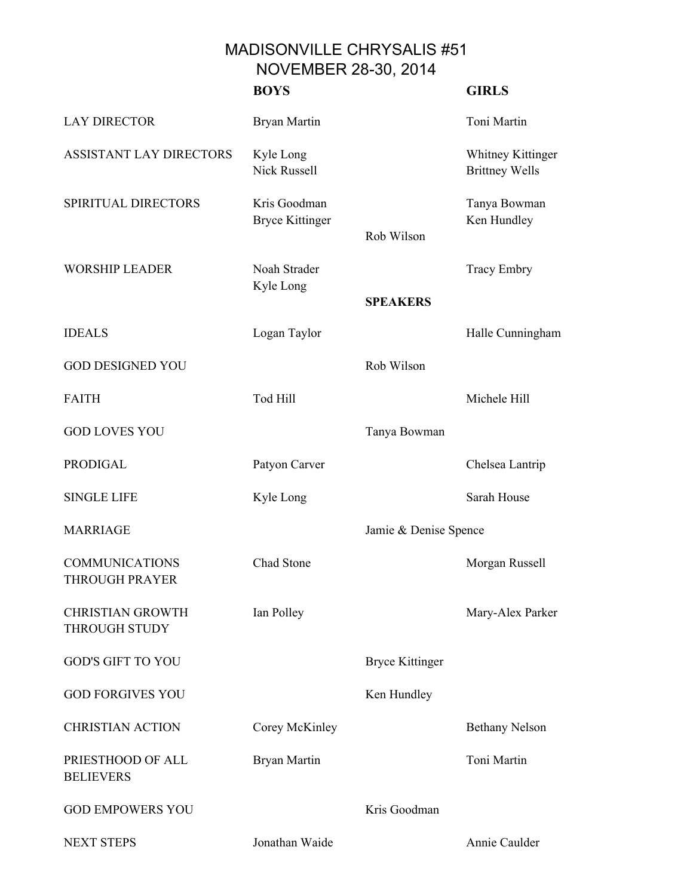MADISONVILLE CHRYSALIS #51 NOVEMBER 28-30, 2014

|                                                 | <b>BOYS</b>                            |                        | <b>GIRLS</b>                               |
|-------------------------------------------------|----------------------------------------|------------------------|--------------------------------------------|
| <b>LAY DIRECTOR</b>                             | <b>Bryan Martin</b>                    |                        | Toni Martin                                |
| ASSISTANT LAY DIRECTORS                         | Kyle Long<br><b>Nick Russell</b>       |                        | Whitney Kittinger<br><b>Brittney Wells</b> |
| SPIRITUAL DIRECTORS                             | Kris Goodman<br><b>Bryce Kittinger</b> | Rob Wilson             | Tanya Bowman<br>Ken Hundley                |
| <b>WORSHIP LEADER</b>                           | Noah Strader<br>Kyle Long              | <b>SPEAKERS</b>        | <b>Tracy Embry</b>                         |
| <b>IDEALS</b>                                   | Logan Taylor                           |                        | Halle Cunningham                           |
| <b>GOD DESIGNED YOU</b>                         |                                        | Rob Wilson             |                                            |
| <b>FAITH</b>                                    | Tod Hill                               |                        | Michele Hill                               |
| <b>GOD LOVES YOU</b>                            |                                        | Tanya Bowman           |                                            |
| PRODIGAL                                        | Patyon Carver                          |                        | Chelsea Lantrip                            |
| <b>SINGLE LIFE</b>                              | Kyle Long                              |                        | Sarah House                                |
| <b>MARRIAGE</b>                                 |                                        | Jamie & Denise Spence  |                                            |
| <b>COMMUNICATIONS</b><br><b>THROUGH PRAYER</b>  | Chad Stone                             |                        | Morgan Russell                             |
| <b>CHRISTIAN GROWTH</b><br><b>THROUGH STUDY</b> | Ian Polley                             |                        | Mary-Alex Parker                           |
| <b>GOD'S GIFT TO YOU</b>                        |                                        | <b>Bryce Kittinger</b> |                                            |
| <b>GOD FORGIVES YOU</b>                         |                                        | Ken Hundley            |                                            |
| <b>CHRISTIAN ACTION</b>                         | Corey McKinley                         |                        | <b>Bethany Nelson</b>                      |
| PRIESTHOOD OF ALL<br><b>BELIEVERS</b>           | Bryan Martin                           |                        | Toni Martin                                |
| <b>GOD EMPOWERS YOU</b>                         |                                        | Kris Goodman           |                                            |
| <b>NEXT STEPS</b>                               | Jonathan Waide                         |                        | Annie Caulder                              |